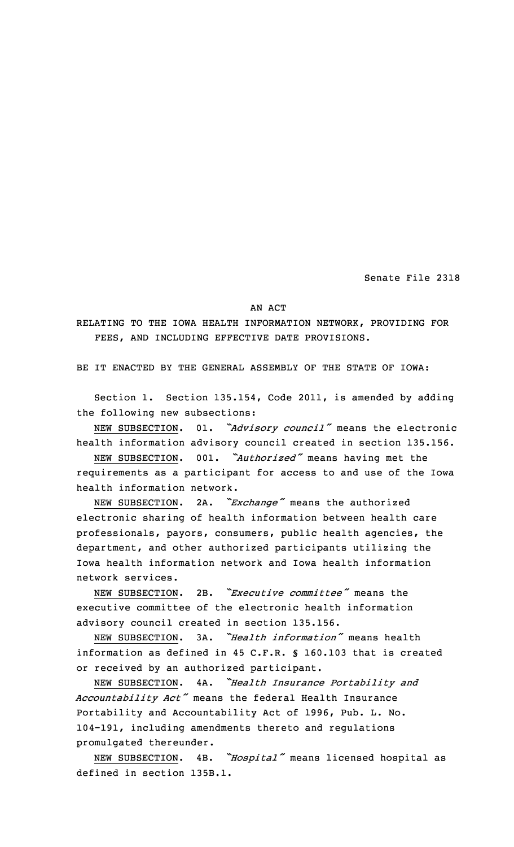Senate File 2318

## AN ACT

RELATING TO THE IOWA HEALTH INFORMATION NETWORK, PROVIDING FOR FEES, AND INCLUDING EFFECTIVE DATE PROVISIONS.

BE IT ENACTED BY THE GENERAL ASSEMBLY OF THE STATE OF IOWA:

Section 1. Section 135.154, Code 2011, is amended by adding the following new subsections:

NEW SUBSECTION. 01. *"Advisory council"* means the electronic health information advisory council created in section 135.156.

NEW SUBSECTION. 001. *"Authorized"* means having met the requirements as <sup>a</sup> participant for access to and use of the Iowa health information network.

NEW SUBSECTION. 2A. *"Exchange"* means the authorized electronic sharing of health information between health care professionals, payors, consumers, public health agencies, the department, and other authorized participants utilizing the Iowa health information network and Iowa health information network services.

NEW SUBSECTION. 2B. *"Executive committee"* means the executive committee of the electronic health information advisory council created in section 135.156.

NEW SUBSECTION. 3A. *"Health information"* means health information as defined in 45 C.F.R. § 160.103 that is created or received by an authorized participant.

NEW SUBSECTION. 4A. *"Health Insurance Portability and Accountability Act"* means the federal Health Insurance Portability and Accountability Act of 1996, Pub. L. No. 104-191, including amendments thereto and regulations promulgated thereunder.

NEW SUBSECTION. 4B. *"Hospital"* means licensed hospital as defined in section 135B.1.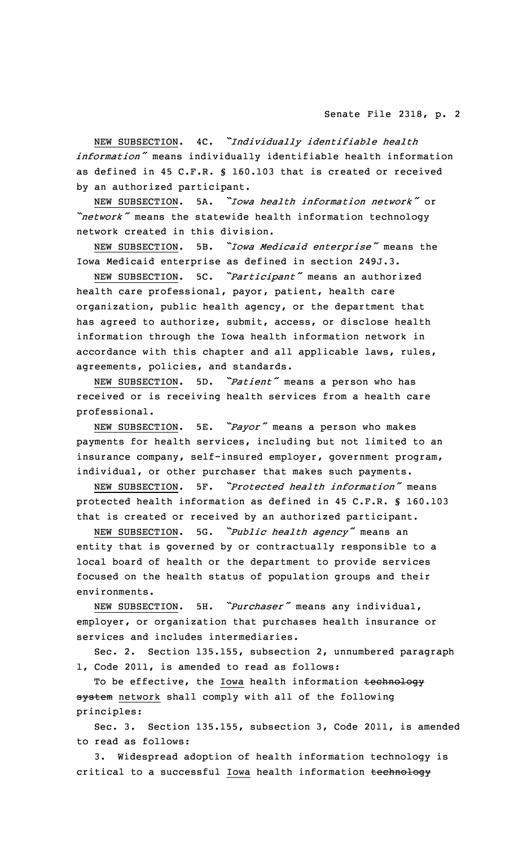NEW SUBSECTION. 4C. *"Individually identifiable health information"* means individually identifiable health information as defined in 45 C.F.R. § 160.103 that is created or received by an authorized participant.

NEW SUBSECTION. 5A. *"Iowa health information network"* or *"network"* means the statewide health information technology network created in this division.

NEW SUBSECTION. 5B. *"Iowa Medicaid enterprise"* means the Iowa Medicaid enterprise as defined in section 249J.3.

NEW SUBSECTION. 5C. *"Participant"* means an authorized health care professional, payor, patient, health care organization, public health agency, or the department that has agreed to authorize, submit, access, or disclose health information through the Iowa health information network in accordance with this chapter and all applicable laws, rules, agreements, policies, and standards.

NEW SUBSECTION. 5D. *"Patient"* means <sup>a</sup> person who has received or is receiving health services from <sup>a</sup> health care professional.

NEW SUBSECTION. 5E. *"Payor"* means <sup>a</sup> person who makes payments for health services, including but not limited to an insurance company, self-insured employer, government program, individual, or other purchaser that makes such payments.

NEW SUBSECTION. 5F. *"Protected health information"* means protected health information as defined in 45 C.F.R. § 160.103 that is created or received by an authorized participant.

NEW SUBSECTION. 5G. *"Public health agency"* means an entity that is governed by or contractually responsible to <sup>a</sup> local board of health or the department to provide services focused on the health status of population groups and their environments.

NEW SUBSECTION. 5H. *"Purchaser"* means any individual, employer, or organization that purchases health insurance or services and includes intermediaries.

Sec. 2. Section 135.155, subsection 2, unnumbered paragraph 1, Code 2011, is amended to read as follows:

To be effective, the Iowa health information technology system network shall comply with all of the following principles:

Sec. 3. Section 135.155, subsection 3, Code 2011, is amended to read as follows:

Widespread adoption of health information technology is critical to a successful Iowa health information technology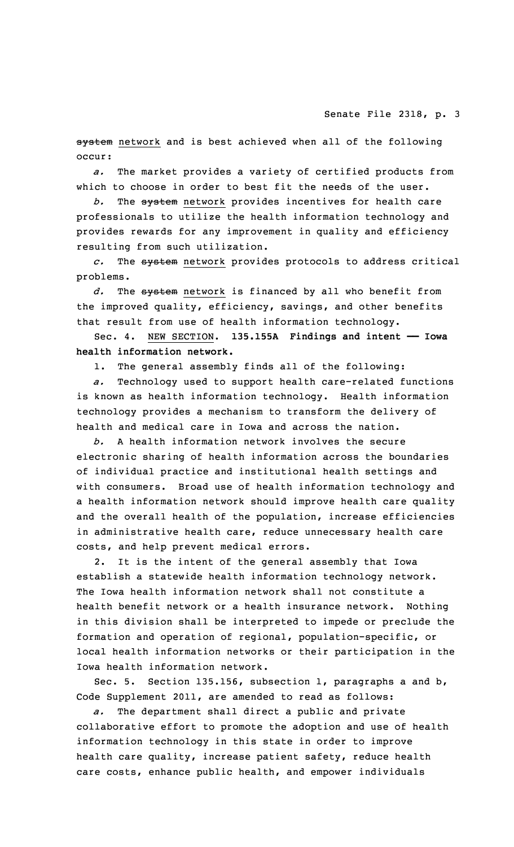system network and is best achieved when all of the following occur:

*a.* The market provides <sup>a</sup> variety of certified products from which to choose in order to best fit the needs of the user.

*b.* The system network provides incentives for health care professionals to utilize the health information technology and provides rewards for any improvement in quality and efficiency resulting from such utilization.

*c.* The system network provides protocols to address critical problems.

*d.* The system network is financed by all who benefit from the improved quality, efficiency, savings, and other benefits that result from use of health information technology.

Sec. 4. NEW SECTION. **135.155A Findings and intent —— Iowa health information network.**

1. The general assembly finds all of the following:

*a.* Technology used to support health care-related functions is known as health information technology. Health information technology provides <sup>a</sup> mechanism to transform the delivery of health and medical care in Iowa and across the nation.

*b.* A health information network involves the secure electronic sharing of health information across the boundaries of individual practice and institutional health settings and with consumers. Broad use of health information technology and <sup>a</sup> health information network should improve health care quality and the overall health of the population, increase efficiencies in administrative health care, reduce unnecessary health care costs, and help prevent medical errors.

2. It is the intent of the general assembly that Iowa establish <sup>a</sup> statewide health information technology network. The Iowa health information network shall not constitute <sup>a</sup> health benefit network or <sup>a</sup> health insurance network. Nothing in this division shall be interpreted to impede or preclude the formation and operation of regional, population-specific, or local health information networks or their participation in the Iowa health information network.

Sec. 5. Section 135.156, subsection 1, paragraphs <sup>a</sup> and b, Code Supplement 2011, are amended to read as follows:

*a.* The department shall direct <sup>a</sup> public and private collaborative effort to promote the adoption and use of health information technology in this state in order to improve health care quality, increase patient safety, reduce health care costs, enhance public health, and empower individuals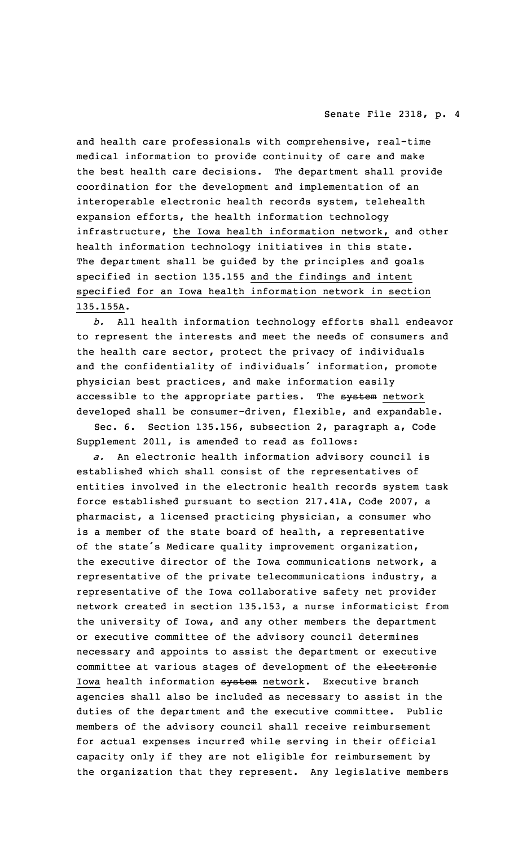and health care professionals with comprehensive, real-time medical information to provide continuity of care and make the best health care decisions. The department shall provide coordination for the development and implementation of an interoperable electronic health records system, telehealth expansion efforts, the health information technology infrastructure, the Iowa health information network, and other health information technology initiatives in this state. The department shall be guided by the principles and goals specified in section 135.155 and the findings and intent specified for an Iowa health information network in section 135.155A.

*b.* All health information technology efforts shall endeavor to represent the interests and meet the needs of consumers and the health care sector, protect the privacy of individuals and the confidentiality of individuals' information, promote physician best practices, and make information easily accessible to the appropriate parties. The system network developed shall be consumer-driven, flexible, and expandable.

Sec. 6. Section 135.156, subsection 2, paragraph a, Code Supplement 2011, is amended to read as follows:

*a.* An electronic health information advisory council is established which shall consist of the representatives of entities involved in the electronic health records system task force established pursuant to section 217.41A, Code 2007, <sup>a</sup> pharmacist, <sup>a</sup> licensed practicing physician, <sup>a</sup> consumer who is <sup>a</sup> member of the state board of health, <sup>a</sup> representative of the state's Medicare quality improvement organization, the executive director of the Iowa communications network, <sup>a</sup> representative of the private telecommunications industry, <sup>a</sup> representative of the Iowa collaborative safety net provider network created in section 135.153, <sup>a</sup> nurse informaticist from the university of Iowa, and any other members the department or executive committee of the advisory council determines necessary and appoints to assist the department or executive committee at various stages of development of the electronic Iowa health information system network. Executive branch agencies shall also be included as necessary to assist in the duties of the department and the executive committee. Public members of the advisory council shall receive reimbursement for actual expenses incurred while serving in their official capacity only if they are not eligible for reimbursement by the organization that they represent. Any legislative members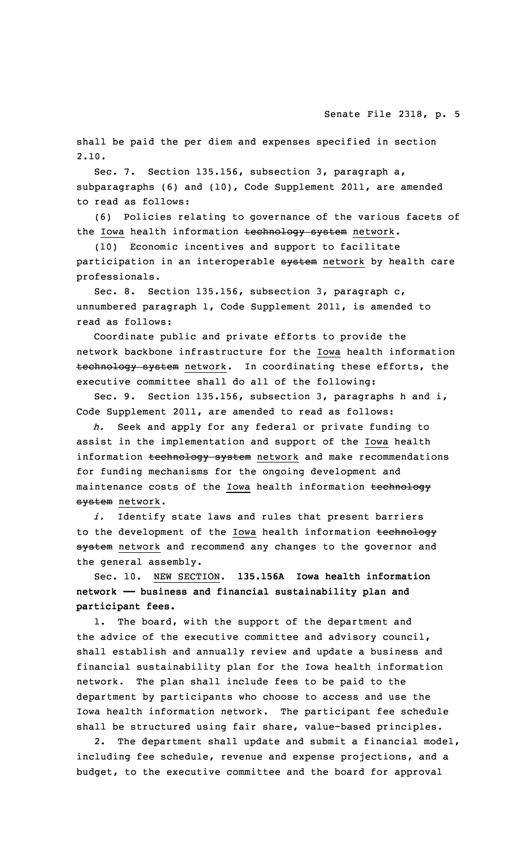## Senate File 2318, p. 5

shall be paid the per diem and expenses specified in section 2.10.

Sec. 7. Section 135.156, subsection 3, paragraph a, subparagraphs (6) and (10), Code Supplement 2011, are amended to read as follows:

(6) Policies relating to governance of the various facets of the Iowa health information technology system network.

(10) Economic incentives and support to facilitate participation in an interoperable system network by health care professionals.

Sec. 8. Section 135.156, subsection 3, paragraph c, unnumbered paragraph 1, Code Supplement 2011, is amended to read as follows:

Coordinate public and private efforts to provide the network backbone infrastructure for the Iowa health information technology system network. In coordinating these efforts, the executive committee shall do all of the following:

Sec. 9. Section 135.156, subsection 3, paragraphs h and i, Code Supplement 2011, are amended to read as follows:

*h.* Seek and apply for any federal or private funding to assist in the implementation and support of the Iowa health information technology system network and make recommendations for funding mechanisms for the ongoing development and maintenance costs of the Iowa health information technology system network.

*i.* Identify state laws and rules that present barriers to the development of the Iowa health information technology system network and recommend any changes to the governor and the general assembly.

Sec. 10. NEW SECTION. **135.156A Iowa health information network —— business and financial sustainability plan and participant fees.**

1. The board, with the support of the department and the advice of the executive committee and advisory council, shall establish and annually review and update <sup>a</sup> business and financial sustainability plan for the Iowa health information network. The plan shall include fees to be paid to the department by participants who choose to access and use the Iowa health information network. The participant fee schedule shall be structured using fair share, value-based principles.

2. The department shall update and submit <sup>a</sup> financial model, including fee schedule, revenue and expense projections, and <sup>a</sup> budget, to the executive committee and the board for approval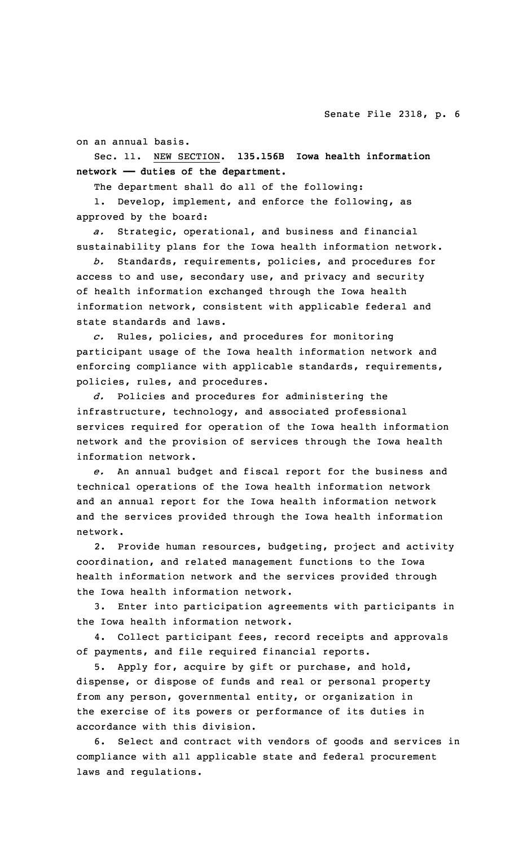on an annual basis.

Sec. 11. NEW SECTION. **135.156B Iowa health information network —— duties of the department.**

The department shall do all of the following:

1. Develop, implement, and enforce the following, as approved by the board:

*a.* Strategic, operational, and business and financial sustainability plans for the Iowa health information network.

*b.* Standards, requirements, policies, and procedures for access to and use, secondary use, and privacy and security of health information exchanged through the Iowa health information network, consistent with applicable federal and state standards and laws.

*c.* Rules, policies, and procedures for monitoring participant usage of the Iowa health information network and enforcing compliance with applicable standards, requirements, policies, rules, and procedures.

*d.* Policies and procedures for administering the infrastructure, technology, and associated professional services required for operation of the Iowa health information network and the provision of services through the Iowa health information network.

*e.* An annual budget and fiscal report for the business and technical operations of the Iowa health information network and an annual report for the Iowa health information network and the services provided through the Iowa health information network.

2. Provide human resources, budgeting, project and activity coordination, and related management functions to the Iowa health information network and the services provided through the Iowa health information network.

3. Enter into participation agreements with participants in the Iowa health information network.

4. Collect participant fees, record receipts and approvals of payments, and file required financial reports.

5. Apply for, acquire by gift or purchase, and hold, dispense, or dispose of funds and real or personal property from any person, governmental entity, or organization in the exercise of its powers or performance of its duties in accordance with this division.

6. Select and contract with vendors of goods and services in compliance with all applicable state and federal procurement laws and regulations.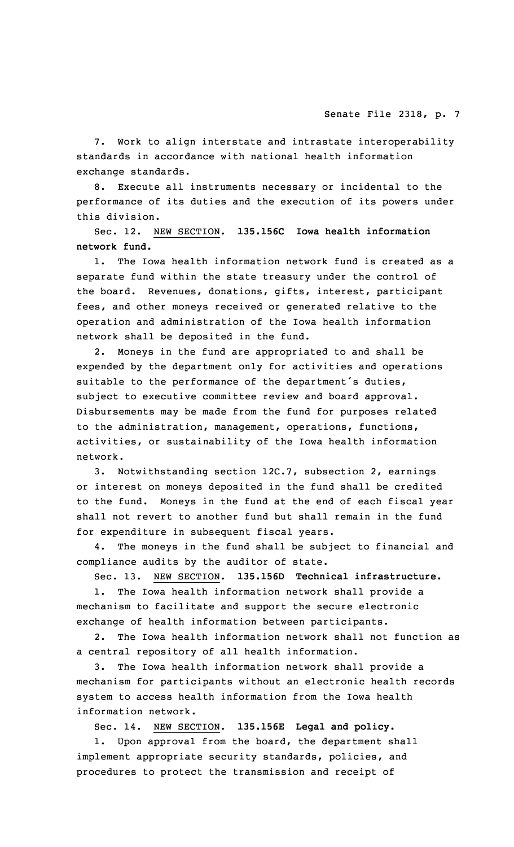7. Work to align interstate and intrastate interoperability standards in accordance with national health information exchange standards.

8. Execute all instruments necessary or incidental to the performance of its duties and the execution of its powers under this division.

Sec. 12. NEW SECTION. **135.156C Iowa health information network fund.**

1. The Iowa health information network fund is created as <sup>a</sup> separate fund within the state treasury under the control of the board. Revenues, donations, gifts, interest, participant fees, and other moneys received or generated relative to the operation and administration of the Iowa health information network shall be deposited in the fund.

2. Moneys in the fund are appropriated to and shall be expended by the department only for activities and operations suitable to the performance of the department's duties, subject to executive committee review and board approval. Disbursements may be made from the fund for purposes related to the administration, management, operations, functions, activities, or sustainability of the Iowa health information network.

3. Notwithstanding section 12C.7, subsection 2, earnings or interest on moneys deposited in the fund shall be credited to the fund. Moneys in the fund at the end of each fiscal year shall not revert to another fund but shall remain in the fund for expenditure in subsequent fiscal years.

4. The moneys in the fund shall be subject to financial and compliance audits by the auditor of state.

Sec. 13. NEW SECTION. **135.156D Technical infrastructure.**

1. The Iowa health information network shall provide <sup>a</sup> mechanism to facilitate and support the secure electronic exchange of health information between participants.

2. The Iowa health information network shall not function as <sup>a</sup> central repository of all health information.

3. The Iowa health information network shall provide <sup>a</sup> mechanism for participants without an electronic health records system to access health information from the Iowa health information network.

Sec. 14. NEW SECTION. **135.156E Legal and policy.**

1. Upon approval from the board, the department shall implement appropriate security standards, policies, and procedures to protect the transmission and receipt of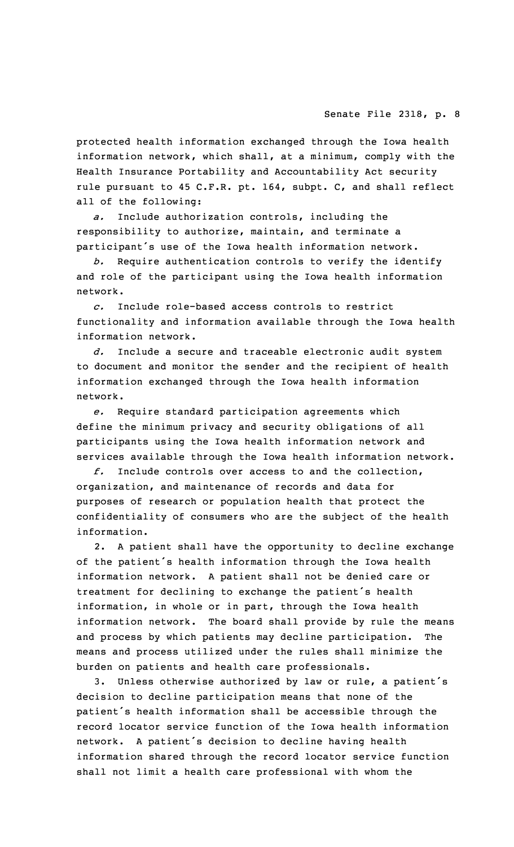protected health information exchanged through the Iowa health information network, which shall, at <sup>a</sup> minimum, comply with the Health Insurance Portability and Accountability Act security rule pursuant to 45 C.F.R. pt. 164, subpt. C, and shall reflect all of the following:

*a.* Include authorization controls, including the responsibility to authorize, maintain, and terminate <sup>a</sup> participant's use of the Iowa health information network.

*b.* Require authentication controls to verify the identify and role of the participant using the Iowa health information network.

*c.* Include role-based access controls to restrict functionality and information available through the Iowa health information network.

*d.* Include <sup>a</sup> secure and traceable electronic audit system to document and monitor the sender and the recipient of health information exchanged through the Iowa health information network.

*e.* Require standard participation agreements which define the minimum privacy and security obligations of all participants using the Iowa health information network and services available through the Iowa health information network.

*f.* Include controls over access to and the collection, organization, and maintenance of records and data for purposes of research or population health that protect the confidentiality of consumers who are the subject of the health information.

2. <sup>A</sup> patient shall have the opportunity to decline exchange of the patient's health information through the Iowa health information network. <sup>A</sup> patient shall not be denied care or treatment for declining to exchange the patient's health information, in whole or in part, through the Iowa health information network. The board shall provide by rule the means and process by which patients may decline participation. The means and process utilized under the rules shall minimize the burden on patients and health care professionals.

3. Unless otherwise authorized by law or rule, <sup>a</sup> patient's decision to decline participation means that none of the patient's health information shall be accessible through the record locator service function of the Iowa health information network. <sup>A</sup> patient's decision to decline having health information shared through the record locator service function shall not limit <sup>a</sup> health care professional with whom the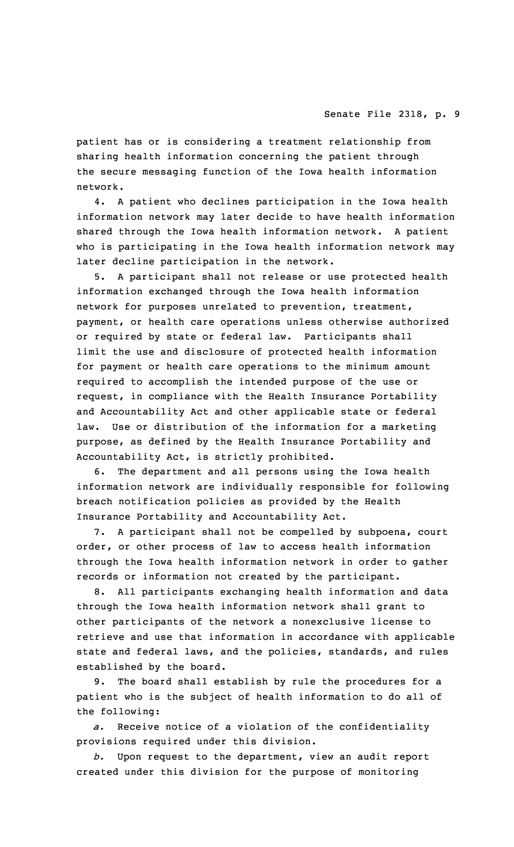patient has or is considering <sup>a</sup> treatment relationship from sharing health information concerning the patient through the secure messaging function of the Iowa health information network.

4. <sup>A</sup> patient who declines participation in the Iowa health information network may later decide to have health information shared through the Iowa health information network. <sup>A</sup> patient who is participating in the Iowa health information network may later decline participation in the network.

5. <sup>A</sup> participant shall not release or use protected health information exchanged through the Iowa health information network for purposes unrelated to prevention, treatment, payment, or health care operations unless otherwise authorized or required by state or federal law. Participants shall limit the use and disclosure of protected health information for payment or health care operations to the minimum amount required to accomplish the intended purpose of the use or request, in compliance with the Health Insurance Portability and Accountability Act and other applicable state or federal law. Use or distribution of the information for <sup>a</sup> marketing purpose, as defined by the Health Insurance Portability and Accountability Act, is strictly prohibited.

6. The department and all persons using the Iowa health information network are individually responsible for following breach notification policies as provided by the Health Insurance Portability and Accountability Act.

7. <sup>A</sup> participant shall not be compelled by subpoena, court order, or other process of law to access health information through the Iowa health information network in order to gather records or information not created by the participant.

8. All participants exchanging health information and data through the Iowa health information network shall grant to other participants of the network <sup>a</sup> nonexclusive license to retrieve and use that information in accordance with applicable state and federal laws, and the policies, standards, and rules established by the board.

9. The board shall establish by rule the procedures for <sup>a</sup> patient who is the subject of health information to do all of the following:

*a.* Receive notice of <sup>a</sup> violation of the confidentiality provisions required under this division.

*b.* Upon request to the department, view an audit report created under this division for the purpose of monitoring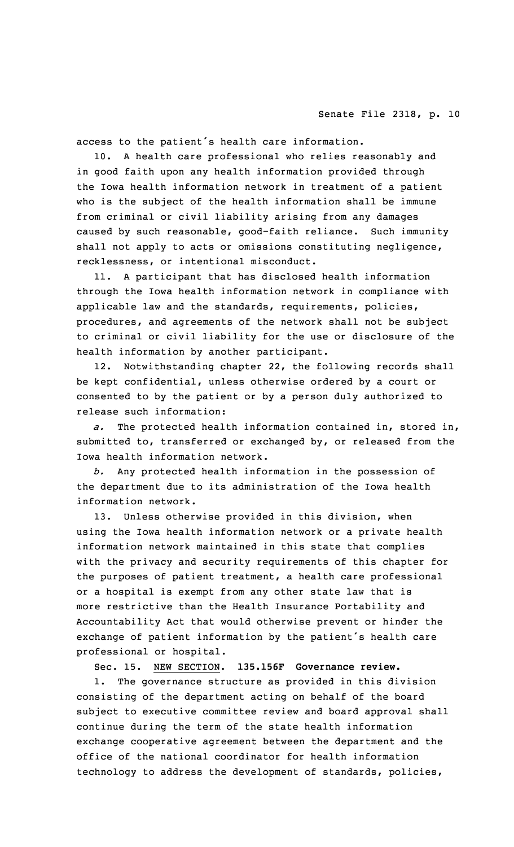access to the patient's health care information.

10. <sup>A</sup> health care professional who relies reasonably and in good faith upon any health information provided through the Iowa health information network in treatment of <sup>a</sup> patient who is the subject of the health information shall be immune from criminal or civil liability arising from any damages caused by such reasonable, good-faith reliance. Such immunity shall not apply to acts or omissions constituting negligence, recklessness, or intentional misconduct.

11. <sup>A</sup> participant that has disclosed health information through the Iowa health information network in compliance with applicable law and the standards, requirements, policies, procedures, and agreements of the network shall not be subject to criminal or civil liability for the use or disclosure of the health information by another participant.

12. Notwithstanding chapter 22, the following records shall be kept confidential, unless otherwise ordered by <sup>a</sup> court or consented to by the patient or by <sup>a</sup> person duly authorized to release such information:

*a.* The protected health information contained in, stored in, submitted to, transferred or exchanged by, or released from the Iowa health information network.

*b.* Any protected health information in the possession of the department due to its administration of the Iowa health information network.

13. Unless otherwise provided in this division, when using the Iowa health information network or <sup>a</sup> private health information network maintained in this state that complies with the privacy and security requirements of this chapter for the purposes of patient treatment, <sup>a</sup> health care professional or <sup>a</sup> hospital is exempt from any other state law that is more restrictive than the Health Insurance Portability and Accountability Act that would otherwise prevent or hinder the exchange of patient information by the patient's health care professional or hospital.

Sec. 15. NEW SECTION. **135.156F Governance review.**

1. The governance structure as provided in this division consisting of the department acting on behalf of the board subject to executive committee review and board approval shall continue during the term of the state health information exchange cooperative agreement between the department and the office of the national coordinator for health information technology to address the development of standards, policies,